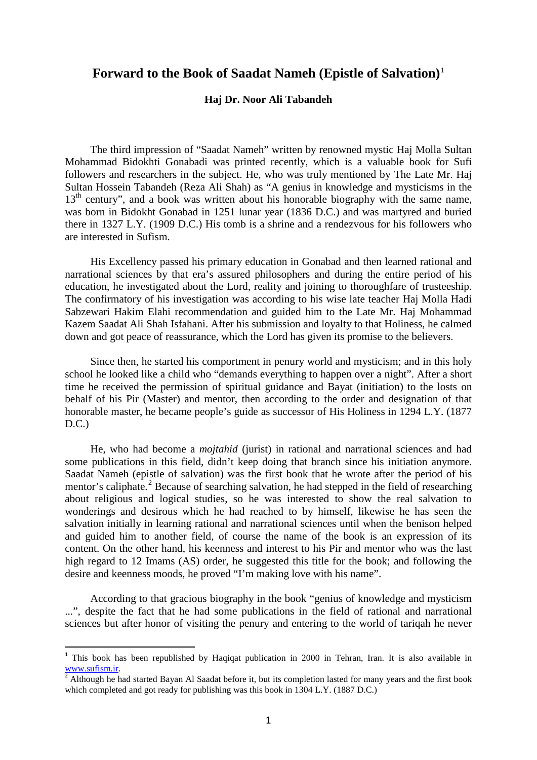## **Forward to the Book of Saadat Nameh (Epistle of Salvation)**[1](#page-0-0)

## **Haj Dr. Noor Ali Tabandeh**

The third impression of "Saadat Nameh" written by renowned mystic Haj Molla Sultan Mohammad Bidokhti Gonabadi was printed recently, which is a valuable book for Sufi followers and researchers in the subject. He, who was truly mentioned by The Late Mr. Haj Sultan Hossein Tabandeh (Reza Ali Shah) as "A genius in knowledge and mysticisms in the  $13<sup>th</sup>$  century", and a book was written about his honorable biography with the same name, was born in Bidokht Gonabad in 1251 lunar year (1836 D.C.) and was martyred and buried there in 1327 L.Y. (1909 D.C.) His tomb is a shrine and a rendezvous for his followers who are interested in Sufism.

His Excellency passed his primary education in Gonabad and then learned rational and narrational sciences by that era's assured philosophers and during the entire period of his education, he investigated about the Lord, reality and joining to thoroughfare of trusteeship. The confirmatory of his investigation was according to his wise late teacher Haj Molla Hadi Sabzewari Hakim Elahi recommendation and guided him to the Late Mr. Haj Mohammad Kazem Saadat Ali Shah Isfahani. After his submission and loyalty to that Holiness, he calmed down and got peace of reassurance, which the Lord has given its promise to the believers.

Since then, he started his comportment in penury world and mysticism; and in this holy school he looked like a child who "demands everything to happen over a night". After a short time he received the permission of spiritual guidance and Bayat (initiation) to the losts on behalf of his Pir (Master) and mentor, then according to the order and designation of that honorable master, he became people's guide as successor of His Holiness in 1294 L.Y. (1877  $D.C.$ )

He, who had become a *mojtahid* (jurist) in rational and narrational sciences and had some publications in this field, didn't keep doing that branch since his initiation anymore. Saadat Nameh (epistle of salvation) was the first book that he wrote after the period of his mentor's caliphate.<sup>[2](#page-0-1)</sup> Because of searching salvation, he had stepped in the field of researching about religious and logical studies, so he was interested to show the real salvation to wonderings and desirous which he had reached to by himself, likewise he has seen the salvation initially in learning rational and narrational sciences until when the benison helped and guided him to another field, of course the name of the book is an expression of its content. On the other hand, his keenness and interest to his Pir and mentor who was the last high regard to 12 Imams (AS) order, he suggested this title for the book; and following the desire and keenness moods, he proved "I'm making love with his name".

According to that gracious biography in the book "genius of knowledge and mysticism ...", despite the fact that he had some publications in the field of rational and narrational sciences but after honor of visiting the penury and entering to the world of tariqah he never

-

<span id="page-0-0"></span><sup>&</sup>lt;sup>1</sup> This book has been republished by Haqiqat publication in 2000 in Tehran, Iran. It is also available in [www.sufism.ir.](http://www.sufism.ir/)<br> $\frac{2}{3}$  Although he had started Bayan Al Saadat before it, but its completion lasted for many years and the first book

<span id="page-0-1"></span>which completed and got ready for publishing was this book in 1304 L.Y. (1887 D.C.)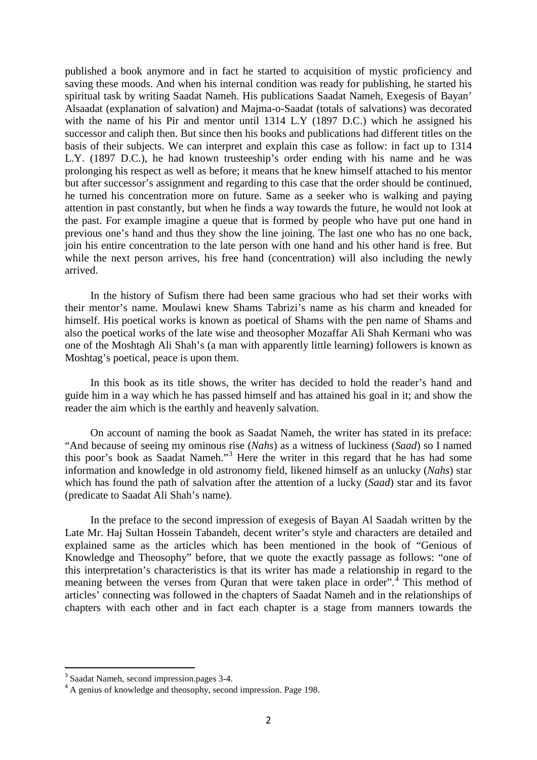published a book anymore and in fact he started to acquisition of mystic proficiency and saving these moods. And when his internal condition was ready for publishing, he started his spiritual task by writing Saadat Nameh. His publications Saadat Nameh, Exegesis of Bayan' Alsaadat (explanation of salvation) and Majma-o-Saadat (totals of salvations) was decorated with the name of his Pir and mentor until 1314 L.Y (1897 D.C.) which he assigned his successor and caliph then. But since then his books and publications had different titles on the basis of their subjects. We can interpret and explain this case as follow: in fact up to 1314 L.Y. (1897 D.C.), he had known trusteeship's order ending with his name and he was prolonging his respect as well as before; it means that he knew himself attached to his mentor but after successor's assignment and regarding to this case that the order should be continued, he turned his concentration more on future. Same as a seeker who is walking and paying attention in past constantly, but when he finds a way towards the future, he would not look at the past. For example imagine a queue that is formed by people who have put one hand in previous one's hand and thus they show the line joining. The last one who has no one back, join his entire concentration to the late person with one hand and his other hand is free. But while the next person arrives, his free hand (concentration) will also including the newly arrived.

In the history of Sufism there had been same gracious who had set their works with their mentor's name. Moulawi knew Shams Tabrizi's name as his charm and kneaded for himself. His poetical works is known as poetical of Shams with the pen name of Shams and also the poetical works of the late wise and theosopher Mozaffar Ali Shah Kermani who was one of the Moshtagh Ali Shah's (a man with apparently little learning) followers is known as Moshtag's poetical, peace is upon them.

In this book as its title shows, the writer has decided to hold the reader's hand and guide him in a way which he has passed himself and has attained his goal in it; and show the reader the aim which is the earthly and heavenly salvation.

On account of naming the book as Saadat Nameh, the writer has stated in its preface: "And because of seeing my ominous rise (*Nahs*) as a witness of luckiness (*Saad*) so I named this poor's book as Saadat Nameh."[3](#page-1-0) Here the writer in this regard that he has had some information and knowledge in old astronomy field, likened himself as an unlucky (*Nahs*) star which has found the path of salvation after the attention of a lucky (*Saad*) star and its favor (predicate to Saadat Ali Shah's name).

In the preface to the second impression of exegesis of Bayan Al Saadah written by the Late Mr. Haj Sultan Hossein Tabandeh, decent writer's style and characters are detailed and explained same as the articles which has been mentioned in the book of "Genious of Knowledge and Theosophy" before, that we quote the exactly passage as follows: "one of this interpretation's characteristics is that its writer has made a relationship in regard to the meaning between the verses from Quran that were taken place in order".<sup>[4](#page-1-1)</sup> This method of articles' connecting was followed in the chapters of Saadat Nameh and in the relationships of chapters with each other and in fact each chapter is a stage from manners towards the

-

<span id="page-1-1"></span><span id="page-1-0"></span><sup>&</sup>lt;sup>3</sup> Saadat Nameh, second impression.pages 3-4.<br><sup>4</sup> A genius of knowledge and theosophy, second impression. Page 198.